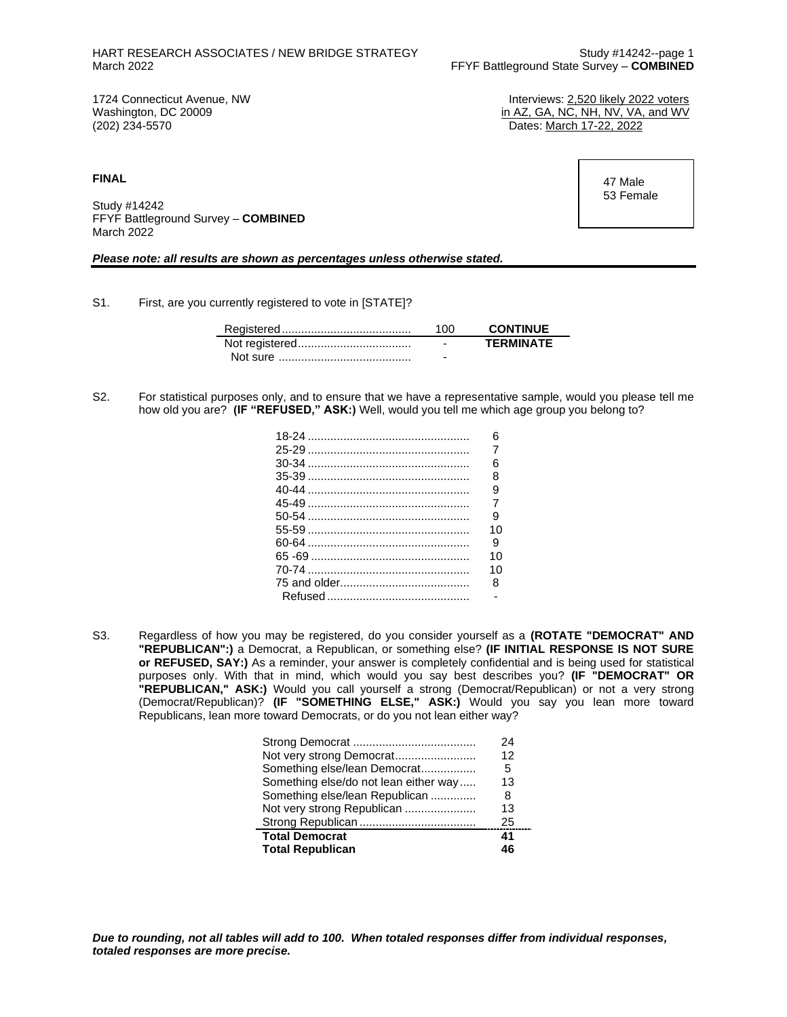1724 Connecticut Avenue, NW Interviews: 2,520 likely 2022 voters Washington, DC 20009 **in AZ, GA, NC, NH, NV, VA, and WV** (202) 234-5570 **in AZ, GA, NC, NH, NV, VA, and WV** Dates: March 17-22, 2022

**FINAL**

Study #14242 FFYF Battleground Survey – **COMBINED** March 2022

*Please note: all results are shown as percentages unless otherwise stated.*

S1. First, are you currently registered to vote in [STATE]?

| 100                      | <b>CONTINUE</b>  |
|--------------------------|------------------|
| $\overline{\phantom{0}}$ | <b>TERMINATE</b> |
| -                        |                  |

S2. For statistical purposes only, and to ensure that we have a representative sample, would you please tell me how old you are? **(IF "REFUSED," ASK:)** Well, would you tell me which age group you belong to?

| ิค             |
|----------------|
| 7              |
| ิค             |
| 8              |
| g              |
| $\overline{7}$ |
| я              |
| 10             |
| я              |
| 10             |
| 10             |
| 8              |
|                |
|                |

S3. Regardless of how you may be registered, do you consider yourself as a **(ROTATE "DEMOCRAT" AND "REPUBLICAN":)** a Democrat, a Republican, or something else? **(IF INITIAL RESPONSE IS NOT SURE or REFUSED, SAY:)** As a reminder, your answer is completely confidential and is being used for statistical purposes only. With that in mind, which would you say best describes you? **(IF "DEMOCRAT" OR "REPUBLICAN," ASK:)** Would you call yourself a strong (Democrat/Republican) or not a very strong (Democrat/Republican)? **(IF "SOMETHING ELSE," ASK:)** Would you say you lean more toward Republicans, lean more toward Democrats, or do you not lean either way?

|                                       | 24 |
|---------------------------------------|----|
|                                       | 12 |
| Something else/lean Democrat          | 5  |
| Something else/do not lean either way | 13 |
| Something else/lean Republican        | 8  |
| Not very strong Republican            | 13 |
|                                       | 25 |
| <b>Total Democrat</b>                 | 41 |
| <b>Total Republican</b>               | 46 |

 47 Male 53 Female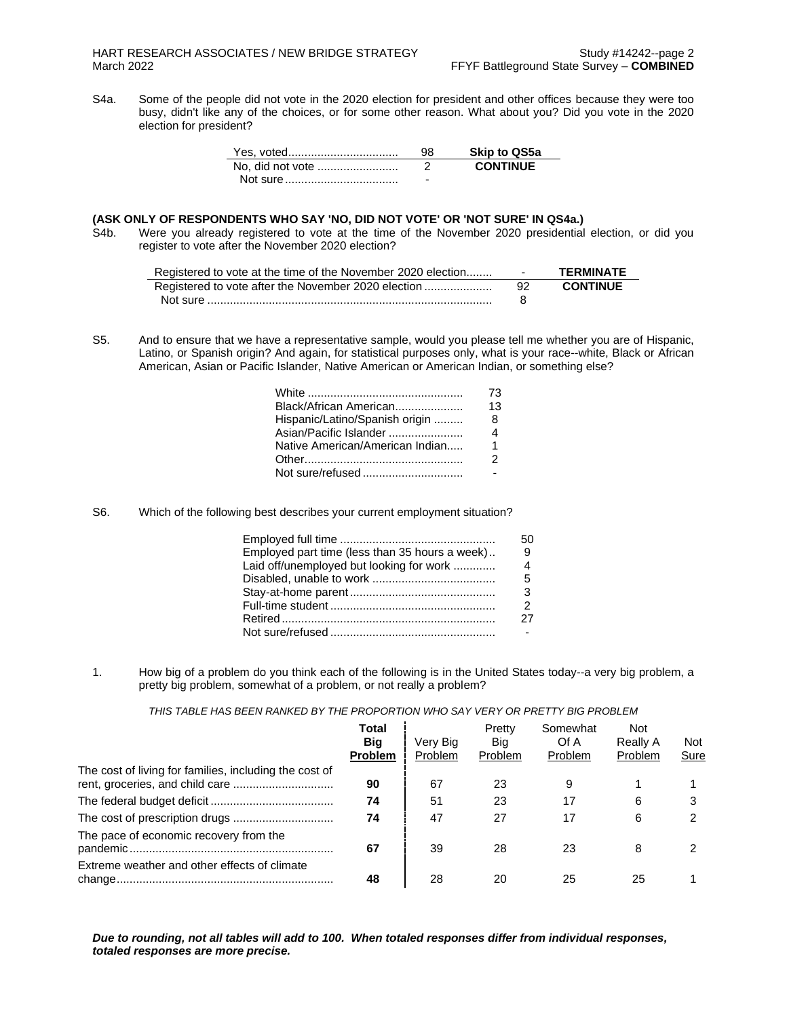S4a. Some of the people did not vote in the 2020 election for president and other offices because they were too busy, didn't like any of the choices, or for some other reason. What about you? Did you vote in the 2020 election for president?

| Yes, voted       | 98 | <b>Skip to QS5a</b> |
|------------------|----|---------------------|
| No. did not vote |    | <b>CONTINUE</b>     |
|                  | -  |                     |

## **(ASK ONLY OF RESPONDENTS WHO SAY 'NO, DID NOT VOTE' OR 'NOT SURE' IN QS4a.)**

S4b. Were you already registered to vote at the time of the November 2020 presidential election, or did you register to vote after the November 2020 election?

| Registered to vote at the time of the November 2020 election | <b>Service</b> | <b>TFRMINATF</b> |
|--------------------------------------------------------------|----------------|------------------|
| Registered to vote after the November 2020 election          | 92.            | <b>CONTINUE</b>  |
|                                                              |                |                  |

S5. And to ensure that we have a representative sample, would you please tell me whether you are of Hispanic, Latino, or Spanish origin? And again, for statistical purposes only, what is your race--white, Black or African American, Asian or Pacific Islander, Native American or American Indian, or something else?

|                                 | 73 |
|---------------------------------|----|
| Black/African American          | 13 |
| Hispanic/Latino/Spanish origin  | 8  |
| Asian/Pacific Islander          | 4  |
| Native American/American Indian | 1  |
|                                 | 2  |
| Not sure/refused                |    |

S6. Which of the following best describes your current employment situation?

|                                                | 50.            |
|------------------------------------------------|----------------|
| Employed part time (less than 35 hours a week) | 9              |
| Laid off/unemployed but looking for work       | $\overline{4}$ |
|                                                | 5              |
|                                                |                |
|                                                |                |
|                                                | 27             |
|                                                |                |

1. How big of a problem do you think each of the following is in the United States today--a very big problem, a pretty big problem, somewhat of a problem, or not really a problem?

*THIS TABLE HAS BEEN RANKED BY THE PROPORTION WHO SAY VERY OR PRETTY BIG PROBLEM*

|                                                                                           | Total<br>Big<br><b>Problem</b> | Very Big<br>Problem | Pretty<br>Big<br>Problem | Somewhat<br>Of A<br>Problem | <b>Not</b><br>Really A<br><b>Problem</b> | Not<br>Sure |
|-------------------------------------------------------------------------------------------|--------------------------------|---------------------|--------------------------|-----------------------------|------------------------------------------|-------------|
| The cost of living for families, including the cost of<br>rent, groceries, and child care | 90                             | 67                  | 23                       | 9                           |                                          |             |
|                                                                                           | 74                             | 51                  | 23                       | 17                          | 6                                        |             |
|                                                                                           | 74                             | 47                  | 27                       | 17                          | 6                                        |             |
| The pace of economic recovery from the                                                    | 67                             | 39                  | 28                       | 23                          | 8                                        |             |
| Extreme weather and other effects of climate                                              | 48                             | 28                  | 20                       | 25                          | 25                                       |             |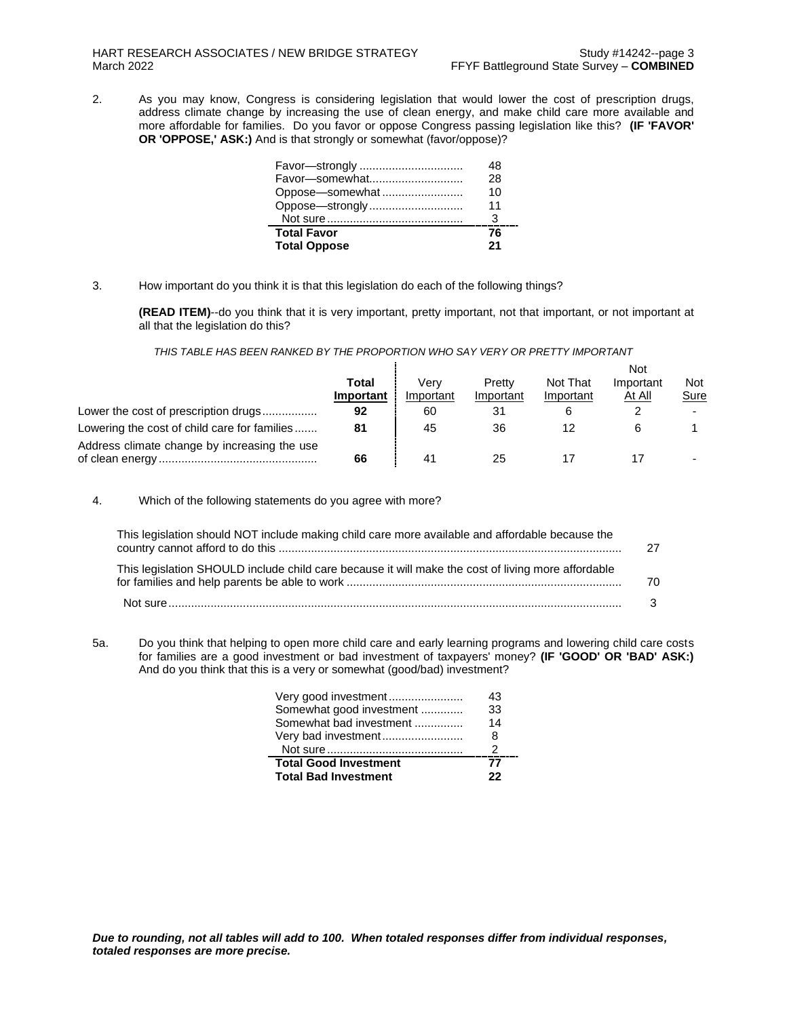2. As you may know, Congress is considering legislation that would lower the cost of prescription drugs, address climate change by increasing the use of clean energy, and make child care more available and more affordable for families. Do you favor or oppose Congress passing legislation like this? **(IF 'FAVOR' OR 'OPPOSE,' ASK:)** And is that strongly or somewhat (favor/oppose)?

| Favor-strongly      | 18 |
|---------------------|----|
|                     | 28 |
| Oppose-somewhat     | 10 |
| Oppose-strongly     | 11 |
|                     | З  |
| <b>Total Favor</b>  | 76 |
| <b>Total Oppose</b> | 21 |

3. How important do you think it is that this legislation do each of the following things?

**(READ ITEM)**--do you think that it is very important, pretty important, not that important, or not important at all that the legislation do this?

## *THIS TABLE HAS BEEN RANKED BY THE PROPORTION WHO SAY VERY OR PRETTY IMPORTANT*

|           |           |           |           | Not           |      |
|-----------|-----------|-----------|-----------|---------------|------|
| Total     | Verv      | Pretty    | Not That  | Important     | Not  |
| Important | Important | Important | Important | <u>At All</u> | Sure |
| 92        | 60        | 31        |           |               |      |
| 81        | 45        | 36        |           |               |      |
| 66        |           | 25        |           |               |      |
|           |           |           |           |               |      |

4. Which of the following statements do you agree with more?

| This legislation should NOT include making child care more available and affordable because the    |    |
|----------------------------------------------------------------------------------------------------|----|
| This legislation SHOULD include child care because it will make the cost of living more affordable | 70 |
|                                                                                                    |    |

5a. Do you think that helping to open more child care and early learning programs and lowering child care costs for families are a good investment or bad investment of taxpayers' money? **(IF 'GOOD' OR 'BAD' ASK:)** And do you think that this is a very or somewhat (good/bad) investment?

| Very good investment         | 43 |
|------------------------------|----|
| Somewhat good investment     | 33 |
| Somewhat bad investment      | 14 |
| Very bad investment          | 8  |
|                              | 2  |
| <b>Total Good Investment</b> | 77 |
| <b>Total Bad Investment</b>  | 22 |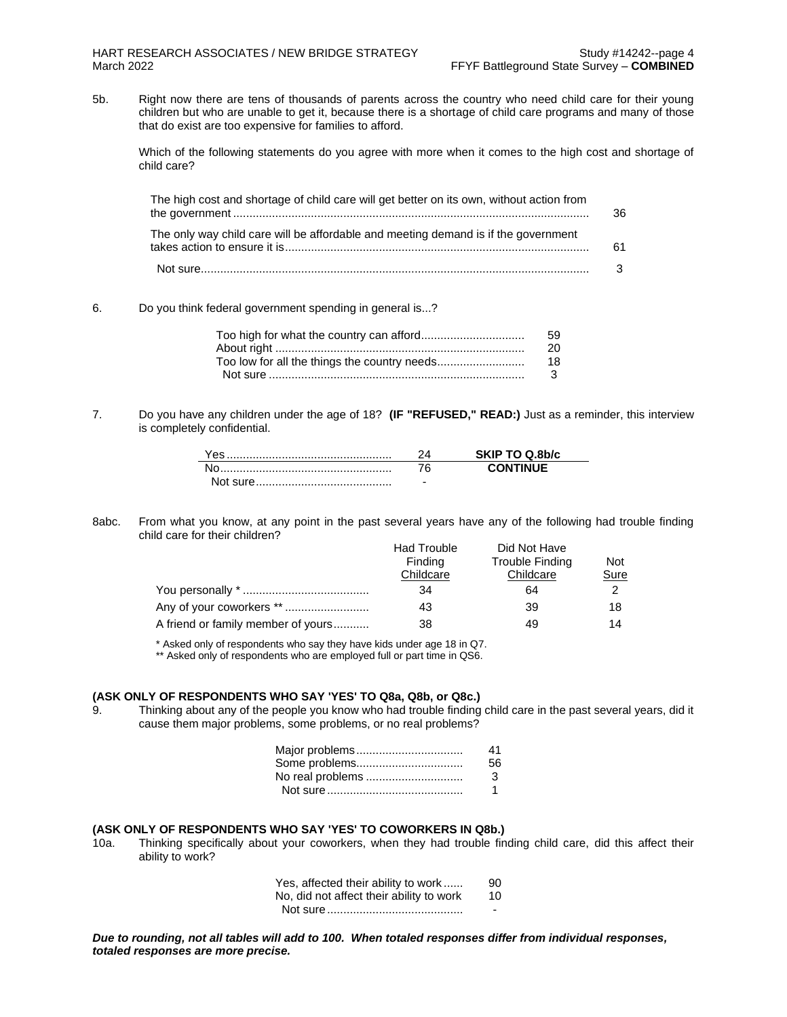5b. Right now there are tens of thousands of parents across the country who need child care for their young children but who are unable to get it, because there is a shortage of child care programs and many of those that do exist are too expensive for families to afford.

Which of the following statements do you agree with more when it comes to the high cost and shortage of child care?

| The high cost and shortage of child care will get better on its own, without action from                                                          | 36 |
|---------------------------------------------------------------------------------------------------------------------------------------------------|----|
| The only way child care will be affordable and meeting demand is if the government<br>takes action to ensure it is………………………………………………………………………………… | 61 |
|                                                                                                                                                   |    |

### 6. Do you think federal government spending in general is...?

| 59 |
|----|
| 20 |
| 18 |
| 3  |
|    |

7. Do you have any children under the age of 18? **(IF "REFUSED," READ:)** Just as a reminder, this interview is completely confidential.

|           |   | SKIP TO Q.8b/c  |
|-----------|---|-----------------|
|           |   | <b>CONTINUE</b> |
| Not sure. | - |                 |

#### 8abc. From what you know, at any point in the past several years have any of the following had trouble finding child care for their children?

|                                    | <b>Had Trouble</b> | Did Not Have    |            |
|------------------------------------|--------------------|-----------------|------------|
|                                    | Finding            | Trouble Finding | <b>Not</b> |
|                                    | Childcare          | Childcare       | Sure       |
|                                    | 34                 | 64              |            |
| Any of your coworkers **           | 43                 | 39              | 18         |
| A friend or family member of yours | 38                 | 49              | 14         |

\* Asked only of respondents who say they have kids under age 18 in Q7.

\*\* Asked only of respondents who are employed full or part time in QS6.

### **(ASK ONLY OF RESPONDENTS WHO SAY 'YES' TO Q8a, Q8b, or Q8c.)**

9. Thinking about any of the people you know who had trouble finding child care in the past several years, did it cause them major problems, some problems, or no real problems?

| Major problems   | 41            |
|------------------|---------------|
| Some problems    | 56.           |
| No real problems | $\mathcal{B}$ |
|                  | 1             |

### **(ASK ONLY OF RESPONDENTS WHO SAY 'YES' TO COWORKERS IN Q8b.)**

10a. Thinking specifically about your coworkers, when they had trouble finding child care, did this affect their ability to work?

| Yes, affected their ability to work      | 90 |
|------------------------------------------|----|
| No, did not affect their ability to work | 10 |
|                                          | -  |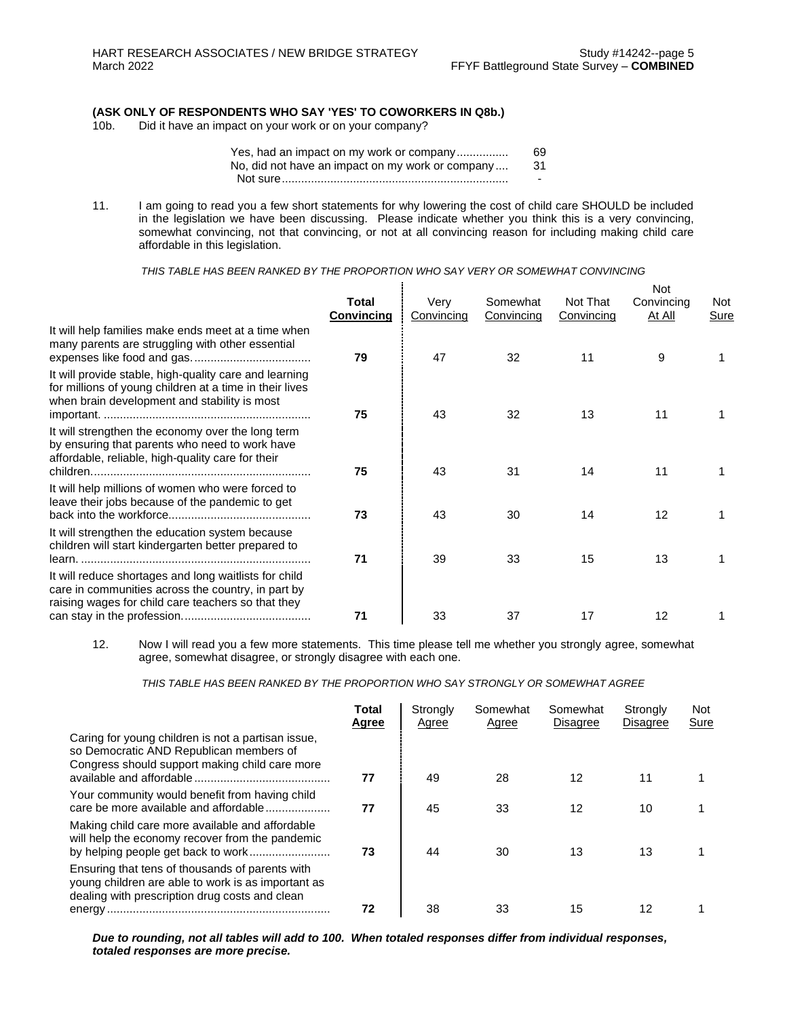# **(ASK ONLY OF RESPONDENTS WHO SAY 'YES' TO COWORKERS IN Q8b.)**

Did it have an impact on your work or on your company?

| Yes, had an impact on my work or company         | 69.                      |
|--------------------------------------------------|--------------------------|
| No, did not have an impact on my work or company | -31                      |
|                                                  | $\overline{\phantom{a}}$ |

11. I am going to read you a few short statements for why lowering the cost of child care SHOULD be included in the legislation we have been discussing. Please indicate whether you think this is a very convincing, somewhat convincing, not that convincing, or not at all convincing reason for including making child care affordable in this legislation.

*THIS TABLE HAS BEEN RANKED BY THE PROPORTION WHO SAY VERY OR SOMEWHAT CONVINCING*

|                                                                                                                                                                   | Total<br><b>Convincing</b> | Very<br>Convincing | Somewhat<br>Convincing | Not That<br>Convincing | Not<br>Convincing<br>At All | Not<br>Sure |
|-------------------------------------------------------------------------------------------------------------------------------------------------------------------|----------------------------|--------------------|------------------------|------------------------|-----------------------------|-------------|
| It will help families make ends meet at a time when<br>many parents are struggling with other essential                                                           | 79                         | 47                 | 32                     | 11                     | 9                           |             |
| It will provide stable, high-quality care and learning<br>for millions of young children at a time in their lives<br>when brain development and stability is most | 75                         | 43                 | 32                     | 13                     | 11                          |             |
| It will strengthen the economy over the long term<br>by ensuring that parents who need to work have<br>affordable, reliable, high-quality care for their          | 75                         | 43                 | 31                     | 14                     | 11                          |             |
| It will help millions of women who were forced to<br>leave their jobs because of the pandemic to get                                                              | 73                         | 43                 | 30                     | 14                     | 12                          |             |
| It will strengthen the education system because<br>children will start kindergarten better prepared to                                                            | 71                         | 39                 | 33                     | 15                     | 13                          |             |
| It will reduce shortages and long waitlists for child<br>care in communities across the country, in part by<br>raising wages for child care teachers so that they | 71                         | 33                 | 37                     | 17                     | 12                          |             |
|                                                                                                                                                                   |                            |                    |                        |                        |                             |             |

<sup>12.</sup> Now I will read you a few more statements. This time please tell me whether you strongly agree, somewhat agree, somewhat disagree, or strongly disagree with each one.

*THIS TABLE HAS BEEN RANKED BY THE PROPORTION WHO SAY STRONGLY OR SOMEWHAT AGREE*

|                                                                                                                                                         | Total<br>Agree | Strongly<br>Agree | Somewhat<br>Agree | Somewhat<br><b>Disagree</b> | Strongly<br><b>Disagree</b> | <b>Not</b><br>Sure |
|---------------------------------------------------------------------------------------------------------------------------------------------------------|----------------|-------------------|-------------------|-----------------------------|-----------------------------|--------------------|
| Caring for young children is not a partisan issue,<br>so Democratic AND Republican members of<br>Congress should support making child care more         | 77             | 49                | 28                | 12                          | 11                          |                    |
| Your community would benefit from having child<br>care be more available and affordable                                                                 | 77             | 45                | 33                | 12                          | 10                          |                    |
| Making child care more available and affordable<br>will help the economy recover from the pandemic                                                      | 73             | 44                | 30                | 13                          | 13                          |                    |
| Ensuring that tens of thousands of parents with<br>young children are able to work is as important as<br>dealing with prescription drug costs and clean | 72             | 38                | 33                | 15                          | 12                          |                    |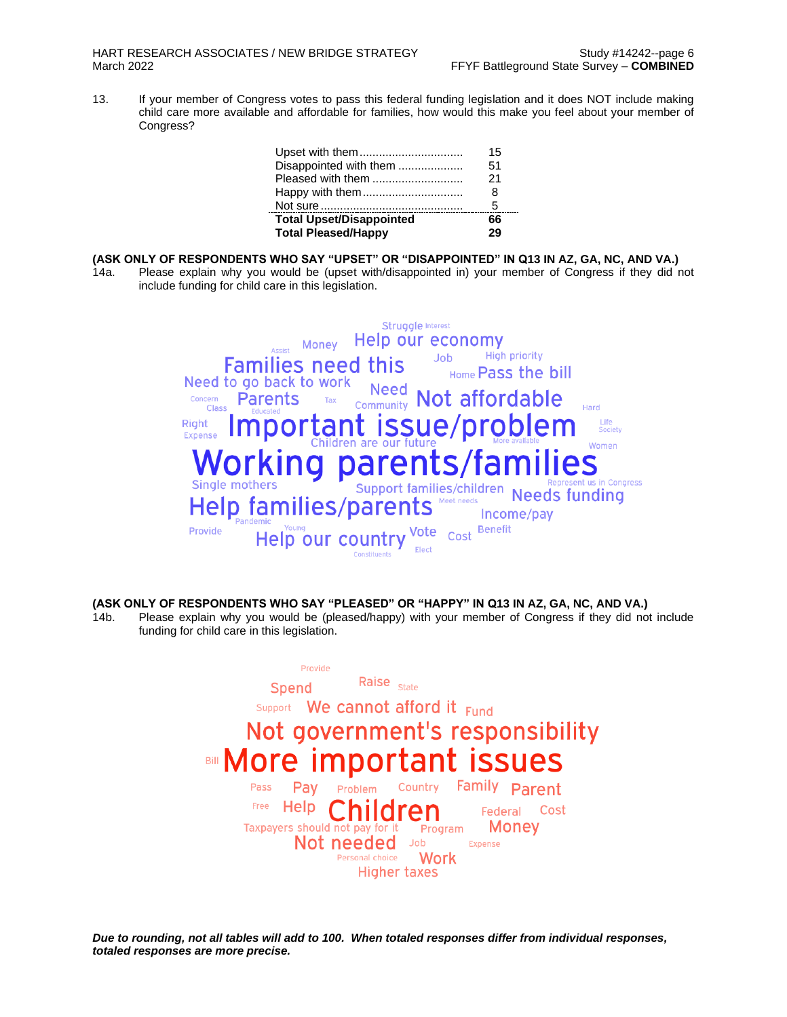13. If your member of Congress votes to pass this federal funding legislation and it does NOT include making child care more available and affordable for families, how would this make you feel about your member of Congress?

| 29 |  |
|----|--|
| 66 |  |
| 5  |  |
| 8  |  |
| 21 |  |
| 51 |  |
| 15 |  |
|    |  |

## **(ASK ONLY OF RESPONDENTS WHO SAY "UPSET" OR "DISAPPOINTED" IN Q13 IN AZ, GA, NC, AND VA.)**

14a. Please explain why you would be (upset with/disappointed in) your member of Congress if they did not include funding for child care in this legislation.



## **(ASK ONLY OF RESPONDENTS WHO SAY "PLEASED" OR "HAPPY" IN Q13 IN AZ, GA, NC, AND VA.)**

14b. Please explain why you would be (pleased/happy) with your member of Congress if they did not include funding for child care in this legislation.

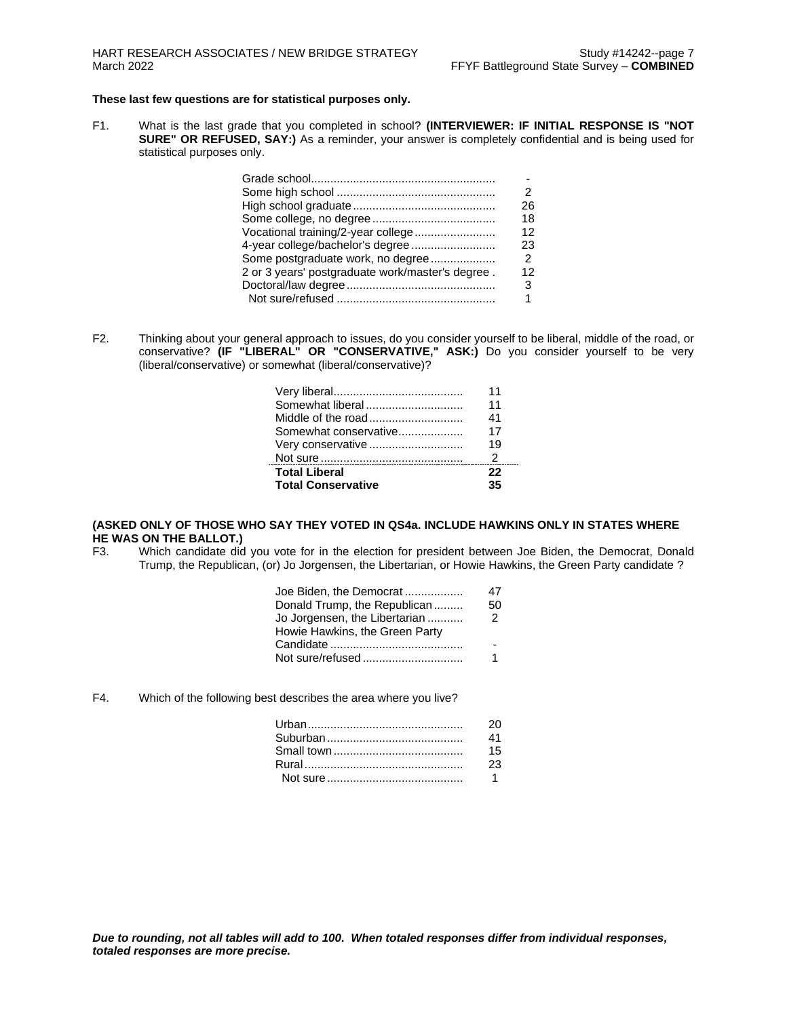### **These last few questions are for statistical purposes only.**

F1. What is the last grade that you completed in school? **(INTERVIEWER: IF INITIAL RESPONSE IS "NOT SURE" OR REFUSED, SAY:)** As a reminder, your answer is completely confidential and is being used for statistical purposes only.

|                                                  | 26             |
|--------------------------------------------------|----------------|
|                                                  | 18             |
| Vocational training/2-year college               | 12             |
| 4-year college/bachelor's degree                 | 23             |
| Some postgraduate work, no degree                | $\overline{2}$ |
| 2 or 3 years' postgraduate work/master's degree. | 12             |
|                                                  | 3              |
|                                                  | 1              |

F2. Thinking about your general approach to issues, do you consider yourself to be liberal, middle of the road, or conservative? **(IF "LIBERAL" OR "CONSERVATIVE," ASK:)** Do you consider yourself to be very (liberal/conservative) or somewhat (liberal/conservative)?

| Total Liberal         | 22 |  |
|-----------------------|----|--|
| Very conservative     | 19 |  |
| Somewhat conservative | 17 |  |
| Middle of the road    | 41 |  |
| Somewhat liberal      | 11 |  |
|                       | 11 |  |
|                       |    |  |

## **(ASKED ONLY OF THOSE WHO SAY THEY VOTED IN QS4a. INCLUDE HAWKINS ONLY IN STATES WHERE HE WAS ON THE BALLOT.)**

F3. Which candidate did you vote for in the election for president between Joe Biden, the Democrat, Donald Trump, the Republican, (or) Jo Jorgensen, the Libertarian, or Howie Hawkins, the Green Party candidate ?

| Joe Biden, the Democrat        | 47 |
|--------------------------------|----|
| Donald Trump, the Republican   | 50 |
| Jo Jorgensen, the Libertarian  | 2  |
| Howie Hawkins, the Green Party |    |
|                                |    |
| Not sure/refused               |    |

F4. Which of the following best describes the area where you live?

| 20             |
|----------------|
| 41             |
| 15             |
| 23             |
| $\overline{1}$ |